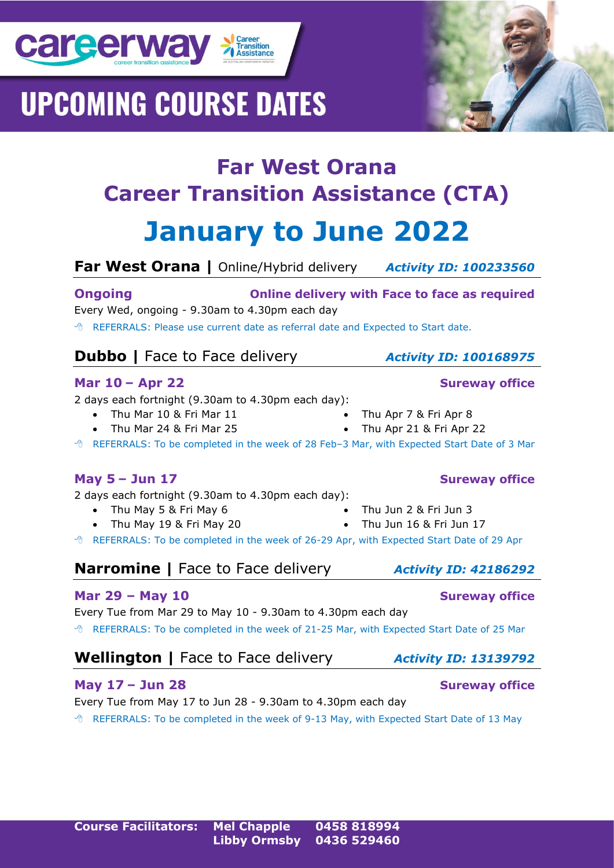

**Far West Orana |** Online/Hybrid delivery *Activity ID: 100233560*

**Far West Orana**

**Ongoing Online delivery with Face to face as required** Every Wed, ongoing - 9.30am to 4.30pm each day

REFERRALS: Please use current date as referral date and Expected to Start date.

### **Dubbo** | Face to Face delivery *Activity ID: 100168975*

#### **Mar 10 – Apr 22 Sureway office**

**career way > Career** 

2 days each fortnight (9.30am to 4.30pm each day):

- Thu Mar 10 & Fri Mar 11
- Thu Mar 24 & Fri Mar 25

REFERRALS: To be completed in the week of 28 Feb–3 Mar, with Expected Start Date of 3 Mar

2 days each fortnight (9.30am to 4.30pm each day):

- Thu May 5 & Fri May 6
- Thu May 19 & Fri May 20
- 

REFERRALS: To be completed in the week of 26-29 Apr, with Expected Start Date of 29 Apr

### **Narromine |** Face to Face delivery *Activity ID: 42186292*

#### **Mar 29 – May 10 Sureway office**

Every Tue from Mar 29 to May 10 - 9.30am to 4.30pm each day

REFERRALS: To be completed in the week of 21-25 Mar, with Expected Start Date of 25 Mar

### **Wellington** | Face to Face delivery *Activity ID: 13139792*

#### **May 17 – Jun 28 Sureway office**

Every Tue from May 17 to Jun 28 - 9.30am to 4.30pm each day REFERRALS: To be completed in the week of 9-13 May, with Expected Start Date of 13 May





- -

• Thu Apr 7 & Fri Apr 8 • Thu Apr 21 & Fri Apr 22

- Thu Jun 16 & Fri Jun 17
- -
	-